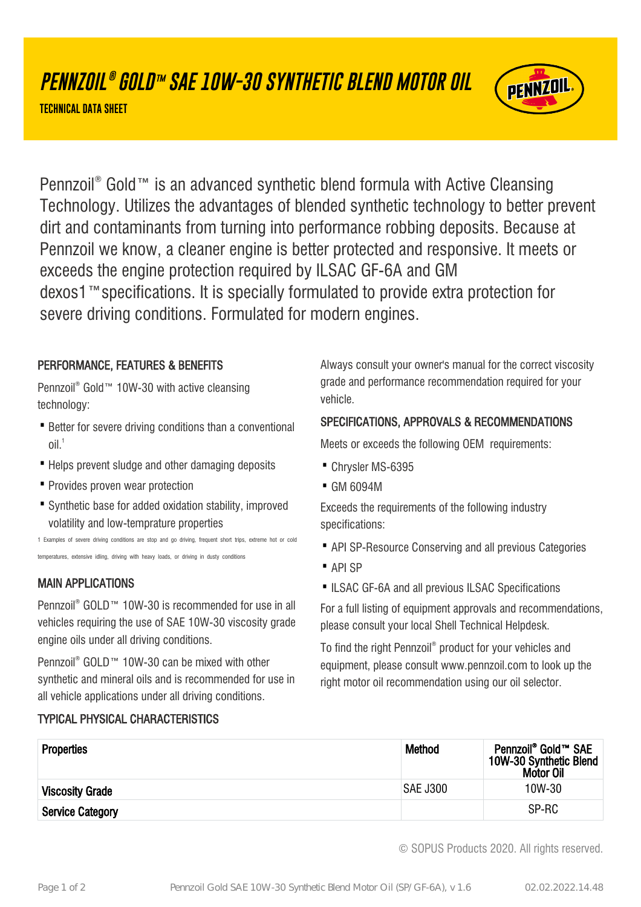# **PENNZOIL ® GOLD™ SAE 10W-30 SYNTHETIC BLEND MOTOR OIL**

**TECHNICAL DATA SHEET**



Pennzoil® Gold™ is an advanced synthetic blend formula with Active Cleansing Technology. Utilizes the advantages of blended synthetic technology to better prevent dirt and contaminants from turning into performance robbing deposits. Because at Pennzoil we know, a cleaner engine is better protected and responsive. It meets or exceeds the engine protection required by ILSAC GF-6A and GM dexos1™specifications. It is specially formulated to provide extra protection for severe driving conditions. Formulated for modern engines.

### PERFORMANCE, FEATURES & BENEFITS

Pennzoil® Gold™ 10W-30 with active cleansing technology:

- Better for severe driving conditions than a conventional  $O<sup>1</sup>$
- · Helps prevent sludge and other damaging deposits
- · Provides proven wear protection
- Synthetic base for added oxidation stability, improved volatility and low-temprature properties

1 Examples of severe driving conditions are stop and go driving, frequent short trips, extreme hot or cold temperatures, extensive idling, driving with heavy loads, or driving in dusty conditions

## MAIN APPLICATIONS

Pennzoil® GOLD™ 10W-30 is recommended for use in all vehicles requiring the use of SAE 10W-30 viscosity grade engine oils under all driving conditions.

Pennzoil® GOLD™ 10W-30 can be mixed with other synthetic and mineral oils and is recommended for use in all vehicle applications under all driving conditions.

## TYPICAL PHYSICAL CHARACTERISTICS

Always consult your owner's manual for the correct viscosity grade and performance recommendation required for your vehicle.

### SPECIFICATIONS, APPROVALS & RECOMMENDATIONS

Meets or exceeds the following OEM requirements:

- · Chrysler MS-6395
- · GM 6094M

Exceeds the requirements of the following industry specifications:

- · API SP-Resource Conserving and all previous Categories
- · API SP
- ILSAC GF-6A and all previous ILSAC Specifications

For a full listing of equipment approvals and recommendations, please consult your local Shell Technical Helpdesk.

To find the right Pennzoil® product for your vehicles and equipment, please consult www.pennzoil.com to look up the right motor oil recommendation using our oil selector.

| <b>Properties</b>       | <b>Method</b> | Pennzoil <sup>®</sup> Gold™ SAE<br>10W-30 Synthetic Blend<br><b>Motor Oil</b> |
|-------------------------|---------------|-------------------------------------------------------------------------------|
| <b>Viscosity Grade</b>  | SAE J300      | 10W-30                                                                        |
| <b>Service Category</b> |               | SP-RC                                                                         |

© SOPUS Products 2020. All rights reserved.